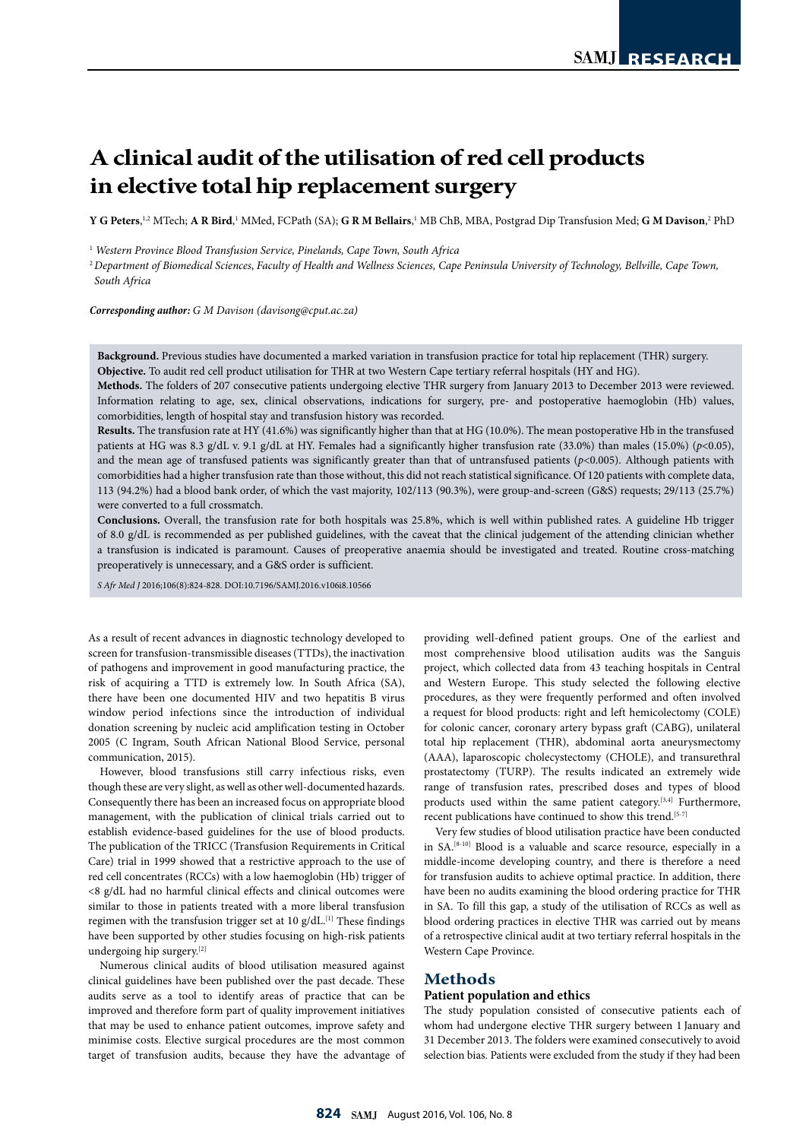# **A clinical audit of the utilisation of red cell products in elective total hip replacement surgery**

 $\bf{Y}$  **G Peters,**½ MTech;  $\bf{A}$  **R Bird**,½ MMed, FCPath (SA);  $\bf{G}$   $\bf{R}$   $\bf{M}$  Bellairs,½ MB ChB, MBA, Postgrad Dip Transfusion Med;  $\bf{G}$   $\bf{M}$  Davison, $^2$  PhD

<sup>1</sup> *Western Province Blood Transfusion Service, Pinelands, Cape Town, South Africa*

<sup>2</sup>*Department of Biomedical Sciences*, *Faculty of Health and Wellness Sciences, Cape Peninsula University of Technology, Bellville, Cape Town, South Africa*

*Corresponding author: G M Davison (davisong@cput.ac.za)*

**Background.** Previous studies have documented a marked variation in transfusion practice for total hip replacement (THR) surgery. **Objective.** To audit red cell product utilisation for THR at two Western Cape tertiary referral hospitals (HY and HG).

**Methods.** The folders of 207 consecutive patients undergoing elective THR surgery from January 2013 to December 2013 were reviewed. Information relating to age, sex, clinical observations, indications for surgery, pre- and postoperative haemoglobin (Hb) values, comorbidities, length of hospital stay and transfusion history was recorded.

**Results.** The transfusion rate at HY (41.6%) was significantly higher than that at HG (10.0%). The mean postoperative Hb in the transfused patients at HG was 8.3 g/dL v. 9.1 g/dL at HY. Females had a significantly higher transfusion rate (33.0%) than males (15.0%) (*p*<0.05), and the mean age of transfused patients was significantly greater than that of untransfused patients (*p*<0.005). Although patients with comorbidities had a higher transfusion rate than those without, this did not reach statistical significance. Of 120 patients with complete data, 113 (94.2%) had a blood bank order, of which the vast majority, 102/113 (90.3%), were group-and-screen (G&S) requests; 29/113 (25.7%) were converted to a full crossmatch.

**Conclusions.** Overall, the transfusion rate for both hospitals was 25.8%, which is well within published rates. A guideline Hb trigger of 8.0 g/dL is recommended as per published guidelines, with the caveat that the clinical judgement of the attending clinician whether a transfusion is indicated is paramount. Causes of preoperative anaemia should be investigated and treated. Routine cross-matching preoperatively is unnecessary, and a G&S order is sufficient.

*S Afr Med J* 2016;106(8):824-828. DOI:10.7196/SAMJ.2016.v106i8.10566

As a result of recent advances in diagnostic technology developed to screen for transfusion-transmissible diseases (TTDs), the inactivation of pathogens and improvement in good manufacturing practice, the risk of acquiring a TTD is extremely low. In South Africa (SA), there have been one documented HIV and two hepatitis B virus window period infections since the introduction of individual donation screening by nucleic acid amplification testing in October 2005 (C Ingram, South African National Blood Service, personal communication, 2015).

However, blood transfusions still carry infectious risks, even though these are very slight, as well as other well-documented hazards. Consequently there has been an increased focus on appropriate blood management, with the publication of clinical trials carried out to establish evidence-based guidelines for the use of blood products. The publication of the TRICC (Transfusion Requirements in Critical Care) trial in 1999 showed that a restrictive approach to the use of red cell concentrates (RCCs) with a low haemoglobin (Hb) trigger of <8 g/dL had no harmful clinical effects and clinical outcomes were similar to those in patients treated with a more liberal transfusion regimen with the transfusion trigger set at 10 g/dL.<sup>[1]</sup> These findings have been supported by other studies focusing on high-risk patients undergoing hip surgery.[2]

Numerous clinical audits of blood utilisation measured against clinical guidelines have been published over the past decade. These audits serve as a tool to identify areas of practice that can be improved and therefore form part of quality improvement initiatives that may be used to enhance patient outcomes, improve safety and minimise costs. Elective surgical procedures are the most common target of transfusion audits, because they have the advantage of providing well-defined patient groups. One of the earliest and most comprehensive blood utilisation audits was the Sanguis project, which collected data from 43 teaching hospitals in Central and Western Europe. This study selected the following elective procedures, as they were frequently performed and often involved a request for blood products: right and left hemicolectomy (COLE) for colonic cancer, coronary artery bypass graft (CABG), unilateral total hip replacement (THR), abdominal aorta aneurysmectomy (AAA), laparoscopic cholecystectomy (CHOLE), and transurethral prostatectomy (TURP). The results indicated an extremely wide range of transfusion rates, prescribed doses and types of blood products used within the same patient category.[3,4] Furthermore, recent publications have continued to show this trend.<sup>[5-7]</sup>

Very few studies of blood utilisation practice have been conducted in SA.[8-10] Blood is a valuable and scarce resource, especially in a middle-income developing country, and there is therefore a need for transfusion audits to achieve optimal practice. In addition, there have been no audits examining the blood ordering practice for THR in SA. To fill this gap, a study of the utilisation of RCCs as well as blood ordering practices in elective THR was carried out by means of a retrospective clinical audit at two tertiary referral hospitals in the Western Cape Province.

#### **Methods**

#### **Patient population and ethics**

The study population consisted of consecutive patients each of whom had undergone elective THR surgery between 1 January and 31 December 2013. The folders were examined consecutively to avoid selection bias. Patients were excluded from the study if they had been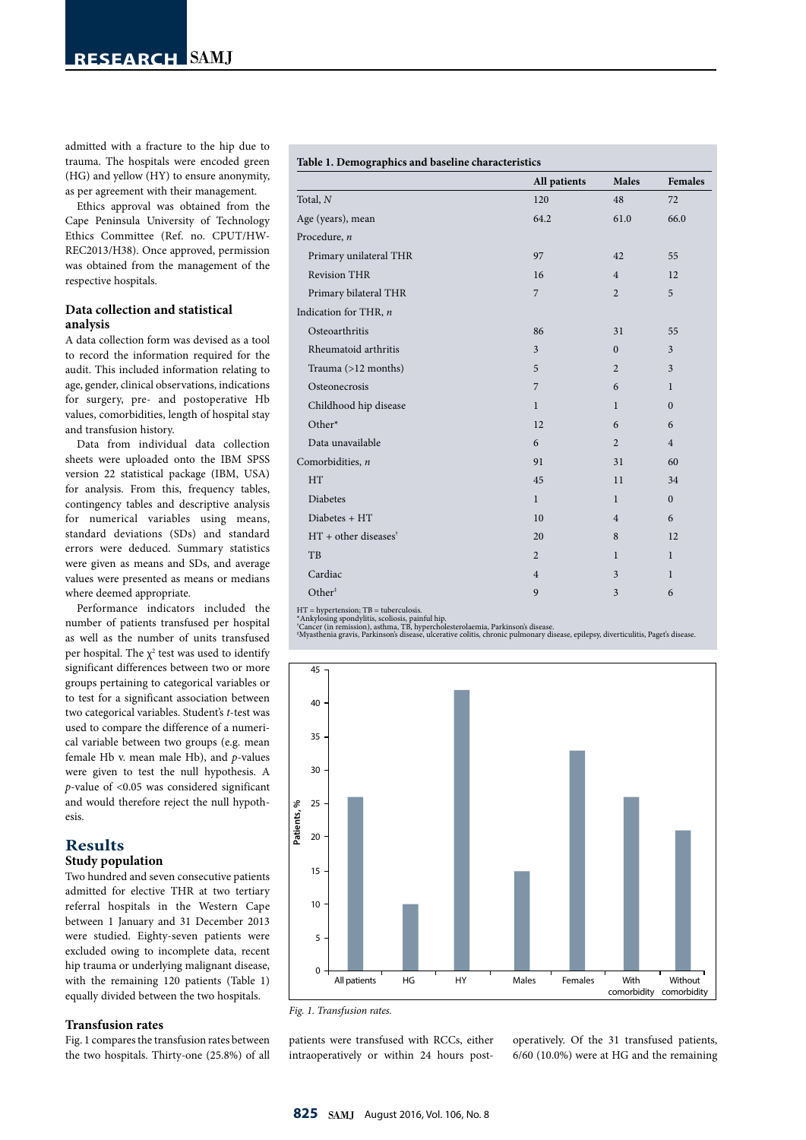admitted with a fracture to the hip due to trauma. The hospitals were encoded green (HG) and yellow (HY) to ensure anonymity, as per agreement with their management.

Ethics approval was obtained from the Cape Peninsula University of Technology Ethics Committee (Ref. no. CPUT/HW-REC2013/H38). Once approved, permission was obtained from the management of the respective hospitals.

### **Data collection and statistical analysis**

A data collection form was devised as a tool to record the information required for the audit. This included information relating to age, gender, clinical observations, indications for surgery, pre- and postoperative Hb values, comorbidities, length of hospital stay and transfusion history.

Data from individual data collection sheets were uploaded onto the IBM SPSS version 22 statistical package (IBM, USA) for analysis. From this, frequency tables, contingency tables and descriptive analysis for numerical variables using means, standard deviations (SDs) and standard errors were deduced. Summary statistics were given as means and SDs, and average values were presented as means or medians where deemed appropriate.

Performance indicators included the number of patients transfused per hospital as well as the number of units transfused per hospital. The  $\chi^2$  test was used to identify significant differences between two or more groups pertaining to categorical variables or to test for a significant association between two categorical variables. Student's *t*-test was used to compare the difference of a numerical variable between two groups (e.g. mean female Hb v. mean male Hb), and *p*-values were given to test the null hypothesis. A *p*-value of <0.05 was considered significant and would therefore reject the null hypothesis.

## **Results**

## **Study population**

Two hundred and seven consecutive patients admitted for elective THR at two tertiary referral hospitals in the Western Cape between 1 January and 31 December 2013 were studied. Eighty-seven patients were excluded owing to incomplete data, recent hip trauma or underlying malignant disease, with the remaining 120 patients (Table 1) equally divided between the two hospitals.

#### **Transfusion rates**

Fig. 1 compares the transfusion rates between the two hospitals. Thirty-one (25.8%) of all

| Table 1. Demographics and baseline characteristics |                |                |                |
|----------------------------------------------------|----------------|----------------|----------------|
|                                                    | All patients   | Males          | <b>Females</b> |
| Total, N                                           | 120            | 48             | 72             |
| Age (years), mean                                  | 64.2           | 61.0           | 66.0           |
| Procedure, n                                       |                |                |                |
| Primary unilateral THR                             | 97             | 42             | 55             |
| <b>Revision THR</b>                                | 16             | $\overline{4}$ | 12             |
| Primary bilateral THR                              | $\overline{7}$ | $\overline{2}$ | 5              |
| Indication for THR, $n$                            |                |                |                |
| Osteoarthritis                                     | 86             | 31             | 55             |
| Rheumatoid arthritis                               | $\overline{3}$ | $\mathbf{0}$   | $\overline{3}$ |
| Trauma (>12 months)                                | 5              | $\overline{2}$ | 3              |
| Osteonecrosis                                      | 7              | 6              | $\mathbf{1}$   |
| Childhood hip disease                              | $\mathbf{1}$   | $\mathbf{1}$   | $\Omega$       |
| Other*                                             | 12             | 6              | 6              |
| Data unavailable                                   | 6              | $\overline{2}$ | $\overline{4}$ |
| Comorbidities, n                                   | 91             | 31             | 60             |
| HT                                                 | 45             | 11             | 34             |
| Diabetes                                           | $\mathbf{1}$   | $\mathbf{1}$   | $\Omega$       |
| Diabetes + HT                                      | 10             | $\overline{4}$ | 6              |
| $HT + other diseases^{\dagger}$                    | 20             | 8              | 12             |
| TB                                                 | $\overline{2}$ | $\mathbf{1}$   | $\mathbf{1}$   |
| Cardiac                                            | $\overline{4}$ | 3              | $\mathbf{1}$   |
| Other <sup>#</sup>                                 | 9              | 3              | 6              |
|                                                    |                |                |                |

HT = hypertension; TB = tuberculosis.<br>\*Ankylosing spondylitis, scoliosis, painful hip.<br>\*Cancer (in remission), asthma, TB, hypercholesterolaemia, Parkinson's disease.<br>\*Cancer (in remission), asthma, TB, hypercholesterolaem



*Fig. 1. Transfusion rates.*

patients were transfused with RCCs, either intraoperatively or within 24 hours postoperatively. Of the 31 transfused patients, 6/60 (10.0%) were at HG and the remaining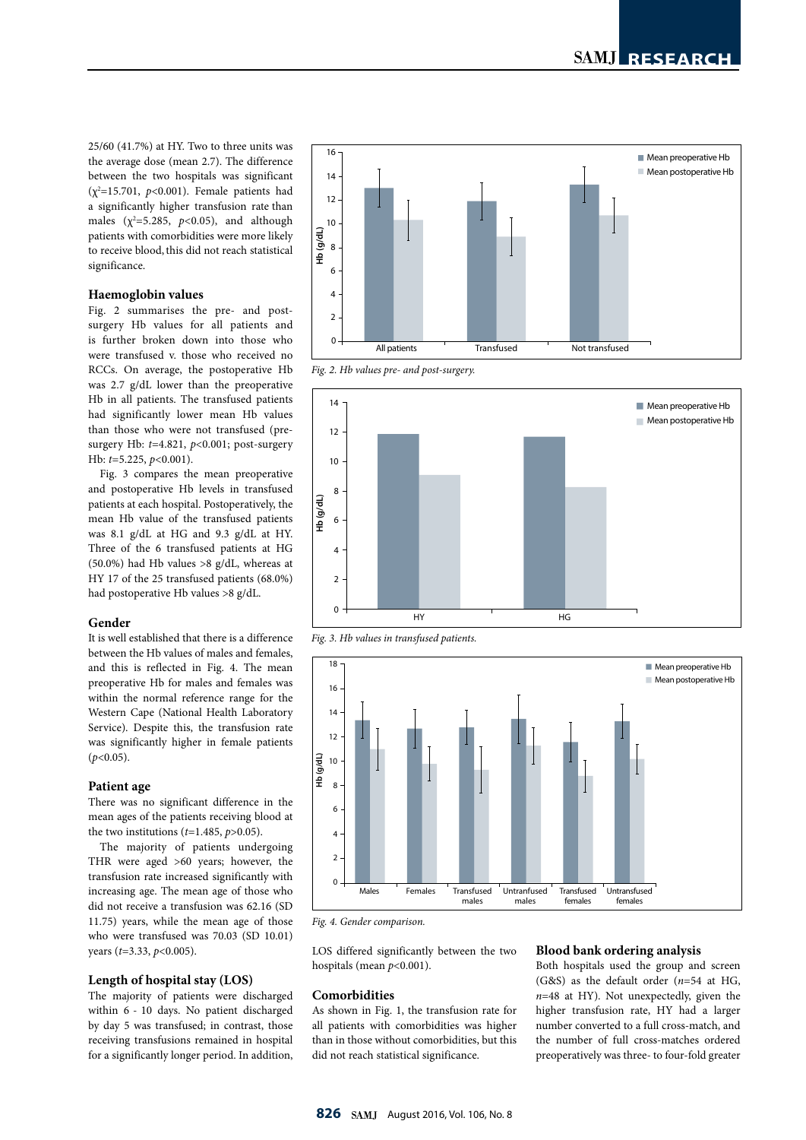25/60 (41.7%) at HY. Two to three units was the average dose (mean 2.7). The difference between the two hospitals was significant  $(χ²=15.701, p<0.001)$ . Female patients had a significantly higher transfusion rate than males  $(\chi^2=5.285, p<0.05)$ , and although patients with comorbidities were more likely to receive blood, this did not reach statistical significance.

#### **Haemoglobin values**

Fig. 2 summarises the pre- and postsurgery Hb values for all patients and is further broken down into those who were transfused v. those who received no RCCs. On average, the postoperative Hb was 2.7 g/dL lower than the preoperative Hb in all patients. The transfused patients had significantly lower mean Hb values than those who were not transfused (presurgery Hb: *t*=4.821, *p*<0.001; post-surgery Hb: *t*=5.225, *p*<0.001).

Fig. 3 compares the mean preoperative and postoperative Hb levels in transfused patients at each hospital. Postoperatively, the mean Hb value of the transfused patients was 8.1 g/dL at HG and 9.3 g/dL at HY. Three of the 6 transfused patients at HG (50.0%) had Hb values >8 g/dL, whereas at HY 17 of the 25 transfused patients (68.0%) had postoperative Hb values >8 g/dL.

#### **Gender**

It is well established that there is a difference between the Hb values of males and females, and this is reflected in Fig. 4. The mean preoperative Hb for males and females was within the normal reference range for the Western Cape (National Health Laboratory Service). Despite this, the transfusion rate was significantly higher in female patients (*p*<0.05).

#### **Patient age**

There was no significant difference in the mean ages of the patients receiving blood at the two institutions (*t*=1.485, *p*>0.05).

The majority of patients undergoing THR were aged >60 years; however, the transfusion rate increased significantly with increasing age. The mean age of those who did not receive a transfusion was 62.16 (SD 11.75) years, while the mean age of those who were transfused was 70.03 (SD 10.01) years (*t*=3.33, *p*<0.005).

#### **Length of hospital stay (LOS)**

The majority of patients were discharged within 6 - 10 days. No patient discharged by day 5 was transfused; in contrast, those receiving transfusions remained in hospital for a significantly longer period. In addition,



*Fig. 2. Hb values pre- and post-surgery.*



*Fig. 3. Hb values in transfused patients.*



*Fig. 4. Gender comparison.*

LOS differed significantly between the two hospitals (mean *p*<0.001).

#### **Comorbidities**

As shown in Fig. 1, the transfusion rate for all patients with comorbidities was higher than in those without comorbidities, but this did not reach statistical significance.

#### **Blood bank ordering analysis**

Both hospitals used the group and screen (G&S) as the default order (*n*=54 at HG, *n*=48 at HY). Not unexpectedly, given the higher transfusion rate, HY had a larger number converted to a full cross-match, and the number of full cross-matches ordered preoperatively was three- to four-fold greater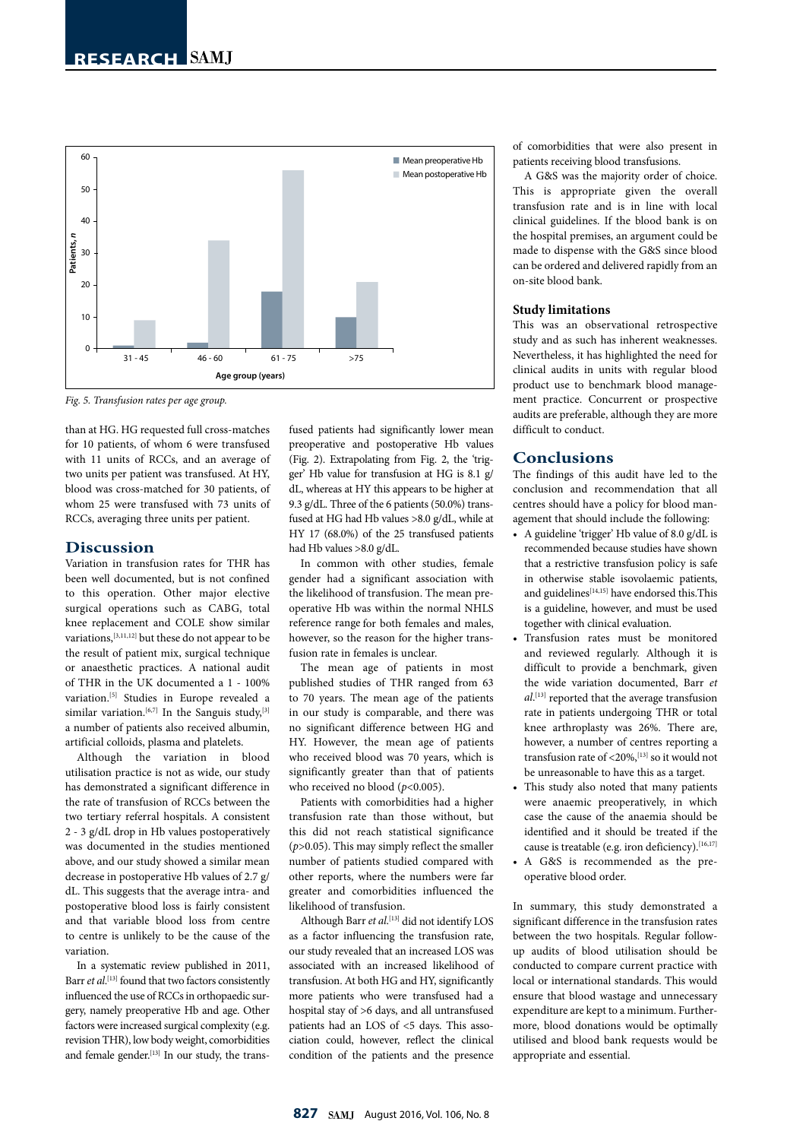

*Fig. 5. Transfusion rates per age group.*

than at HG. HG requested full cross-matches for 10 patients, of whom 6 were transfused with 11 units of RCCs, and an average of two units per patient was transfused. At HY, blood was cross-matched for 30 patients, of whom 25 were transfused with 73 units of RCCs, averaging three units per patient.

#### **Discussion**

Variation in transfusion rates for THR has been well documented, but is not confined to this operation. Other major elective surgical operations such as CABG, total knee replacement and COLE show similar variations,[3,11,12] but these do not appear to be the result of patient mix, surgical technique or anaesthetic practices. A national audit of THR in the UK documented a 1 - 100% variation.[5] Studies in Europe revealed a similar variation.<sup>[6,7]</sup> In the Sanguis study,<sup>[3]</sup> a number of patients also received albumin, artificial colloids, plasma and platelets.

Although the variation in blood utilisation practice is not as wide, our study has demonstrated a significant difference in the rate of transfusion of RCCs between the two tertiary referral hospitals. A consistent 2 - 3 g/dL drop in Hb values postoperatively was documented in the studies mentioned above, and our study showed a similar mean decrease in postoperative Hb values of 2.7 g/ dL. This suggests that the average intra- and postoperative blood loss is fairly consistent and that variable blood loss from centre to centre is unlikely to be the cause of the variation.

In a systematic review published in 2011, Barr *et al*. [13] found that two factors consistently influenced the use of RCCs in orthopaedic surgery, namely preoperative Hb and age. Other factors were increased surgical complexity (e.g. revision THR), low body weight, comorbidities and female gender.<sup>[13]</sup> In our study, the transfused patients had significantly lower mean preoperative and postoperative Hb values (Fig. 2). Extrapolating from Fig. 2, the 'trigger' Hb value for transfusion at HG is 8.1 g/ dL, whereas at HY this appears to be higher at 9.3 g/dL. Three of the 6 patients (50.0%) transfused at HG had Hb values >8.0 g/dL, while at HY 17 (68.0%) of the 25 transfused patients had Hb values >8.0 g/dL.

In common with other studies, female gender had a significant association with the likelihood of transfusion. The mean preoperative Hb was within the normal NHLS reference range for both females and males, however, so the reason for the higher transfusion rate in females is unclear.

The mean age of patients in most published studies of THR ranged from 63 to 70 years. The mean age of the patients in our study is comparable, and there was no significant difference between HG and HY. However, the mean age of patients who received blood was 70 years, which is significantly greater than that of patients who received no blood ( $p$ <0.005).

Patients with comorbidities had a higher transfusion rate than those without, but this did not reach statistical significance (*p*>0.05). This may simply reflect the smaller number of patients studied compared with other reports, where the numbers were far greater and comorbidities influenced the likelihood of transfusion.

Although Barr *et al*. [13] did not identify LOS as a factor influencing the transfusion rate, our study revealed that an increased LOS was associated with an increased likelihood of transfusion. At both HG and HY, significantly more patients who were transfused had a hospital stay of >6 days, and all untransfused patients had an LOS of <5 days. This association could, however, reflect the clinical condition of the patients and the presence

of comorbidities that were also present in patients receiving blood transfusions.

A G&S was the majority order of choice. This is appropriate given the overall transfusion rate and is in line with local clinical guidelines. If the blood bank is on the hospital premises, an argument could be made to dispense with the G&S since blood can be ordered and delivered rapidly from an on-site blood bank.

#### **Study limitations**

This was an observational retrospective study and as such has inherent weaknesses. Nevertheless, it has highlighted the need for clinical audits in units with regular blood product use to benchmark blood management practice. Concurrent or prospective audits are preferable, although they are more difficult to conduct.

#### **Conclusions**

The findings of this audit have led to the conclusion and recommendation that all centres should have a policy for blood management that should include the following:

- A guideline 'trigger' Hb value of 8.0 g/dL is recommended because studies have shown that a restrictive transfusion policy is safe in otherwise stable isovolaemic patients, and guidelines $[14,15]$  have endorsed this. This is a guideline, however, and must be used together with clinical evaluation.
- Transfusion rates must be monitored and reviewed regularly. Although it is difficult to provide a benchmark, given the wide variation documented, Barr *et al*. [13] reported that the average transfusion rate in patients undergoing THR or total knee arthroplasty was 26%. There are, however, a number of centres reporting a transfusion rate of  $\langle 20\% \cdot$ <sup>[13]</sup> so it would not be unreasonable to have this as a target.
- This study also noted that many patients were anaemic preoperatively, in which case the cause of the anaemia should be identified and it should be treated if the cause is treatable (e.g. iron deficiency).<sup>[16,17]</sup>
- A G&S is recommended as the preoperative blood order.

In summary, this study demonstrated a significant difference in the transfusion rates between the two hospitals. Regular followup audits of blood utilisation should be conducted to compare current practice with local or international standards. This would ensure that blood wastage and unnecessary expenditure are kept to a minimum. Furthermore, blood donations would be optimally utilised and blood bank requests would be appropriate and essential.